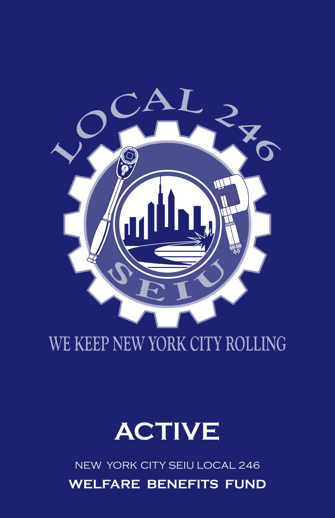## **WELFARE BENEFITS FUND** New York City SEIU local 246



# WE KEEP NEW YORK CITY ROLLING

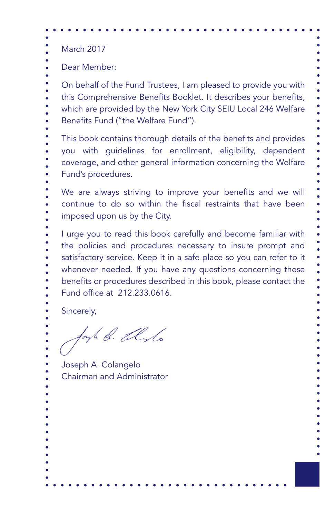March 2017 Dear Member: On behalf of the Fund Trustees, I am pleased to provide you with this Comprehensive Benefits Booklet. It describes your benefits, which are provided by the New York City SEIU Local 246 Welfare Benefits Fund ("the Welfare Fund"). This book contains thorough details of the benefits and provides you with guidelines for enrollment, eligibility, dependent coverage, and other general information concerning the Welfare Fund's procedures. We are always striving to improve your benefits and we will continue to do so within the fiscal restraints that have been imposed upon us by the City. I urge you to read this book carefully and become familiar with the policies and procedures necessary to insure prompt and satisfactory service. Keep it in a safe place so you can refer to it whenever needed. If you have any questions concerning these benefits or procedures described in this book, please contact the Fund office at 212.233.0616. Sincerely,

forth b. alsto

Joseph A. Colangelo Chairman and Administrator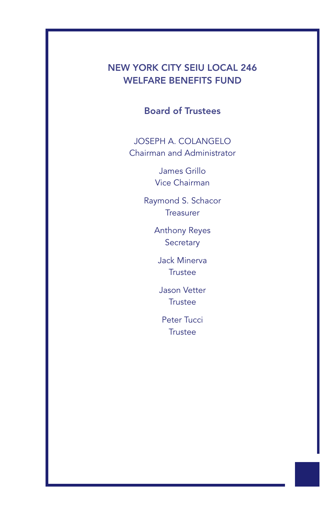### NEW YORK CITY SEIU LOCAL 246 WELFARE BENEFITS FUND

Ϊ

Board of Trustees

JOSEPH A. COLANGELO Chairman and Administrator

> James Grillo Vice Chairman

Raymond S. Schacor **Treasurer** 

> Anthony Reyes **Secretary**

Jack Minerva **Trustee** 

Jason Vetter **Trustee** 

Peter Tucci **Trustee**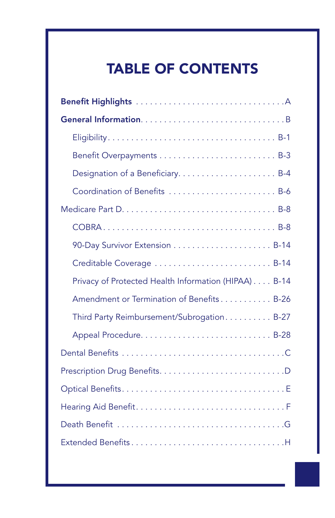# TABLE OF CONTENTS

Ϊ

| Designation of a Beneficiary B-4                     |
|------------------------------------------------------|
| Coordination of Benefits  B-6                        |
|                                                      |
|                                                      |
|                                                      |
| Creditable Coverage  B-14                            |
| Privacy of Protected Health Information (HIPAA) B-14 |
| Amendment or Termination of Benefits B-26            |
| Third Party Reimbursement/Subrogation B-27           |
|                                                      |
|                                                      |
|                                                      |
|                                                      |
|                                                      |
|                                                      |
| Extended BenefitsH                                   |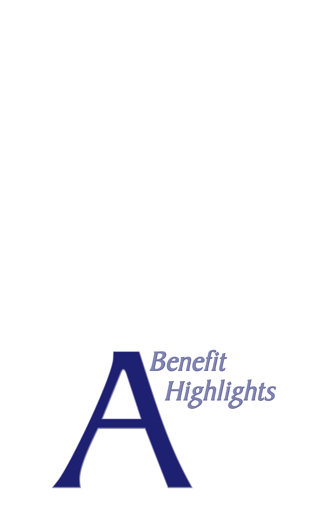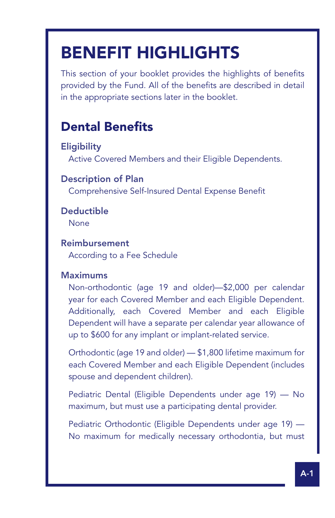# BENEFIT HIGHLIGHTS

This section of your booklet provides the highlights of benefits provided by the Fund. All of the benefits are described in detail in the appropriate sections later in the booklet.

### Dental Benefits

**Eligibility** Active Covered Members and their Eligible Dependents.

### Description of Plan

Comprehensive Self-Insured Dental Expense Benefit

Deductible None

Ϊ

### Reimbursement According to a Fee Schedule

### **Maximums**

Non-orthodontic (age 19 and older)—\$2,000 per calendar year for each Covered Member and each Eligible Dependent. Additionally, each Covered Member and each Eligible Dependent will have a separate per calendar year allowance of up to \$600 for any implant or implant-related service.

Orthodontic (age 19 and older) — \$1,800 lifetime maximum for each Covered Member and each Eligible Dependent (includes spouse and dependent children).

Pediatric Dental (Eligible Dependents under age 19) — No maximum, but must use a participating dental provider.

Pediatric Orthodontic (Eligible Dependents under age 19) — No maximum for medically necessary orthodontia, but must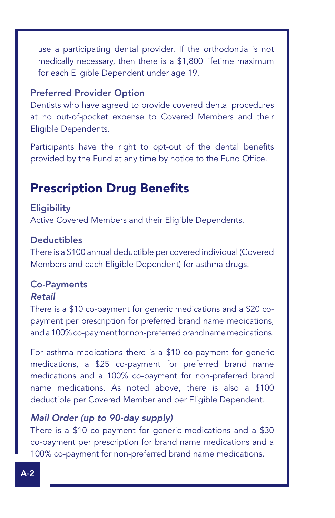use a participating dental provider. If the orthodontia is not medically necessary, then there is a \$1,800 lifetime maximum for each Eligible Dependent under age 19.

### Preferred Provider Option

Dentists who have agreed to provide covered dental procedures at no out-of-pocket expense to Covered Members and their Eligible Dependents.

Participants have the right to opt-out of the dental benefits provided by the Fund at any time by notice to the Fund Office.

### Prescription Drug Benefits

#### **Eligibility**

Active Covered Members and their Eligible Dependents.

### **Deductibles**

There is a \$100 annual deductible per covered individual (Covered Members and each Eligible Dependent) for asthma drugs.

#### Co-Payments *Retail*

There is a \$10 co-payment for generic medications and a \$20 copayment per prescription for preferred brand name medications, and a 100% co-payment for non-preferred brand name medications.

For asthma medications there is a \$10 co-payment for generic medications, a \$25 co-payment for preferred brand name medications and a 100% co-payment for non-preferred brand name medications. As noted above, there is also a \$100 deductible per Covered Member and per Eligible Dependent.

### *Mail Order (up to 90-day supply)*

There is a \$10 co-payment for generic medications and a \$30 co-payment per prescription for brand name medications and a 100% co-payment for non-preferred brand name medications.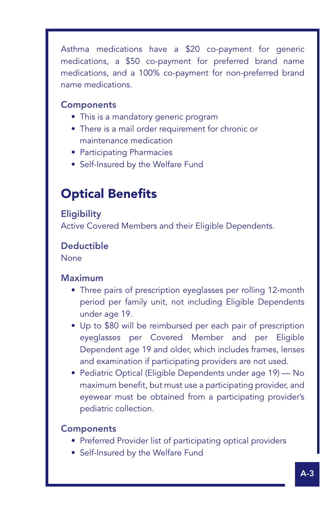Asthma medications have a \$20 co-payment for generic medications, a \$50 co-payment for preferred brand name medications, and a 100% co-payment for non-preferred brand name medications.

### **Components**

Ϊ

- This is a mandatory generic program
- There is a mail order requirement for chronic or maintenance medication
- Participating Pharmacies
- Self-Insured by the Welfare Fund

### Optical Benefits

### **Eligibility** Active Covered Members and their Eligible Dependents.

### Deductible

None

### Maximum

- Three pairs of prescription eyeglasses per rolling 12-month period per family unit, not including Eligible Dependents under age 19.
- Up to \$80 will be reimbursed per each pair of prescription eyeglasses per Covered Member and per Eligible Dependent age 19 and older, which includes frames, lenses and examination if participating providers are not used.
- Pediatric Optical (Eligible Dependents under age 19) No maximum benefit, but must use a participating provider, and eyewear must be obtained from a participating provider's pediatric collection.

### **Components**

- Preferred Provider list of participating optical providers
- Self-Insured by the Welfare Fund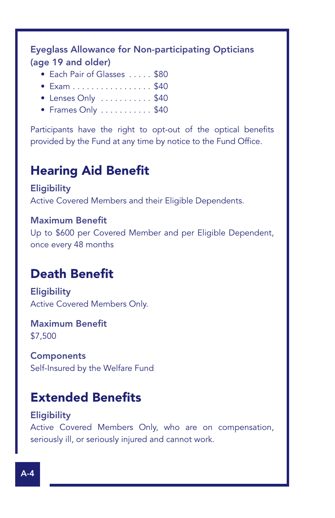Eyeglass Allowance for Non-participating Opticians (age 19 and older)

- Fach Pair of Glasses. . . . . \$80
- $\bullet$  Exam . . . . . . . . . . . . . . . . \$40
- $\bullet$  Lenses Only  $\dots \dots \dots$ \$40
- $\bullet$  Frames Only  $\dots \dots \dots$ \$40

Participants have the right to opt-out of the optical benefits provided by the Fund at any time by notice to the Fund Office.

### Hearing Aid Benefit

**Eligibility** Active Covered Members and their Eligible Dependents.

Maximum Benefit Up to \$600 per Covered Member and per Eligible Dependent, once every 48 months

### Death Benefit

**Eligibility** Active Covered Members Only.

Maximum Benefit \$7,500

**Components** Self-Insured by the Welfare Fund

### Extended Benefits

**Eligibility** Active Covered Members Only, who are on compensation, seriously ill, or seriously injured and cannot work.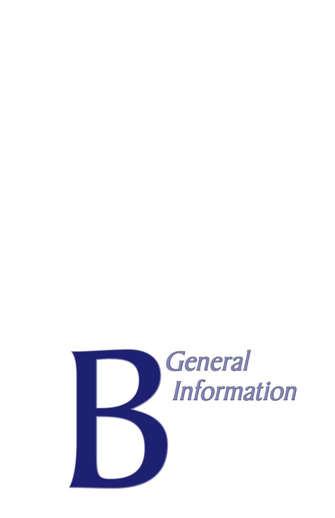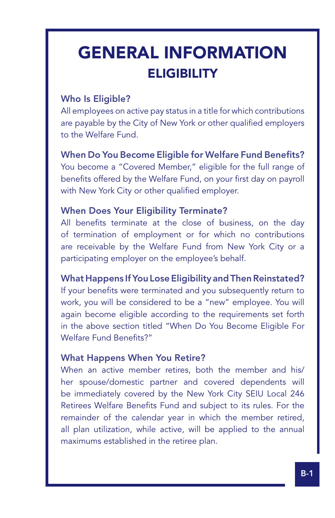# GENERAL INFORMATION **ELIGIBILITY**

### Who Is Eligible?

Ϊ

All employees on active pay status in a title for which contributions are payable by the City of New York or other qualified employers to the Welfare Fund.

When Do You Become Eligible for Welfare Fund Benefits? You become a "Covered Member," eligible for the full range of benefits offered by the Welfare Fund, on your first day on payroll with New York City or other qualified employer.

### When Does Your Eligibility Terminate?

All benefits terminate at the close of business, on the day of termination of employment or for which no contributions are receivable by the Welfare Fund from New York City or a participating employer on the employee's behalf.

### What Happens If You Lose Eligibility and Then Reinstated?

If your benefits were terminated and you subsequently return to work, you will be considered to be a "new" employee. You will again become eligible according to the requirements set forth in the above section titled "When Do You Become Eligible For Welfare Fund Benefits?"

### What Happens When You Retire?

When an active member retires, both the member and his/ her spouse/domestic partner and covered dependents will be immediately covered by the New York City SEIU Local 246 Retirees Welfare Benefits Fund and subject to its rules. For the remainder of the calendar year in which the member retired, all plan utilization, while active, will be applied to the annual maximums established in the retiree plan.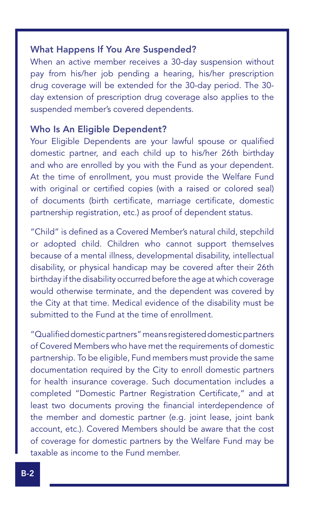### What Happens If You Are Suspended?

When an active member receives a 30-day suspension without pay from his/her job pending a hearing, his/her prescription drug coverage will be extended for the 30-day period. The 30 day extension of prescription drug coverage also applies to the suspended member's covered dependents.

#### Who Is An Eligible Dependent?

Your Eligible Dependents are your lawful spouse or qualified domestic partner, and each child up to his/her 26th birthday and who are enrolled by you with the Fund as your dependent. At the time of enrollment, you must provide the Welfare Fund with original or certified copies (with a raised or colored seal) of documents (birth certificate, marriage certificate, domestic partnership registration, etc.) as proof of dependent status.

"Child" is defined as a Covered Member's natural child, stepchild or adopted child. Children who cannot support themselves because of a mental illness, developmental disability, intellectual disability, or physical handicap may be covered after their 26th birthday if the disability occurred before the age at which coverage would otherwise terminate, and the dependent was covered by the City at that time. Medical evidence of the disability must be submitted to the Fund at the time of enrollment.

"Qualified domestic partners" means registered domestic partners of Covered Members who have met the requirements of domestic partnership. To be eligible, Fund members must provide the same documentation required by the City to enroll domestic partners for health insurance coverage. Such documentation includes a completed "Domestic Partner Registration Certificate," and at least two documents proving the financial interdependence of the member and domestic partner (e.g. joint lease, joint bank account, etc.). Covered Members should be aware that the cost of coverage for domestic partners by the Welfare Fund may be taxable as income to the Fund member.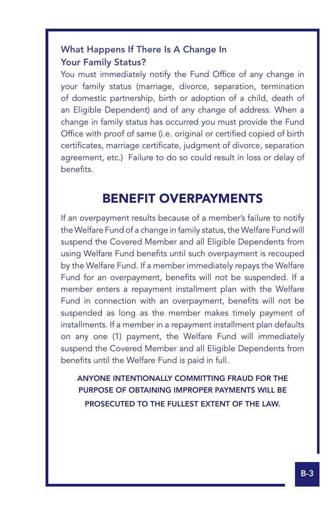### What Happens If There Is A Change In Your Family Status?

Ϊ

You must immediately notify the Fund Office of any change in your family status (marriage, divorce, separation, termination of domestic partnership, birth or adoption of a child, death of an Eligible Dependent) and of any change of address. When a change in family status has occurred you must provide the Fund Office with proof of same (i.e. original or certified copied of birth certificates, marriage certificate, judgment of divorce, separation agreement, etc.) Failure to do so could result in loss or delay of benefits.

### BENEFIT OVERPAYMENTS

If an overpayment results because of a member's failure to notify the Welfare Fund of a change in family status, the Welfare Fund will suspend the Covered Member and all Eligible Dependents from using Welfare Fund benefits until such overpayment is recouped by the Welfare Fund. If a member immediately repays the Welfare Fund for an overpayment, benefits will not be suspended. If a member enters a repayment installment plan with the Welfare Fund in connection with an overpayment, benefits will not be suspended as long as the member makes timely payment of installments. If a member in a repayment installment plan defaults on any one (1) payment, the Welfare Fund will immediately suspend the Covered Member and all Eligible Dependents from benefits until the Welfare Fund is paid in full.

ANYONE INTENTIONALLY COMMITTING FRAUD FOR THE PURPOSE OF OBTAINING IMPROPER PAYMENTS WILL BE PROSECUTED TO THE FULLEST EXTENT OF THE LAW.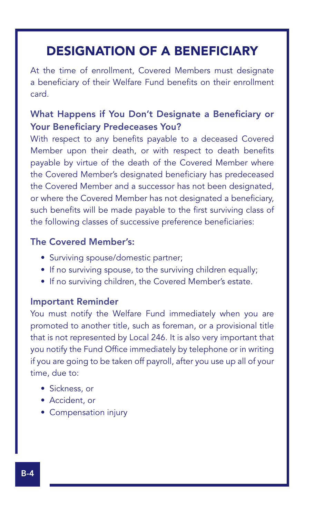### DESIGNATION OF A BENEFICIARY

At the time of enrollment, Covered Members must designate a beneficiary of their Welfare Fund benefits on their enrollment card.

### What Happens if You Don't Designate a Beneficiary or Your Beneficiary Predeceases You?

With respect to any benefits payable to a deceased Covered Member upon their death, or with respect to death benefits payable by virtue of the death of the Covered Member where the Covered Member's designated beneficiary has predeceased the Covered Member and a successor has not been designated, or where the Covered Member has not designated a beneficiary, such benefits will be made payable to the first surviving class of the following classes of successive preference beneficiaries:

### The Covered Member's:

- Surviving spouse/domestic partner;
- If no surviving spouse, to the surviving children equally;
- If no surviving children, the Covered Member's estate.

#### Important Reminder

You must notify the Welfare Fund immediately when you are promoted to another title, such as foreman, or a provisional title that is not represented by Local 246. It is also very important that you notify the Fund Office immediately by telephone or in writing if you are going to be taken off payroll, after you use up all of your time, due to:

- Sickness, or
- Accident, or
- Compensation injury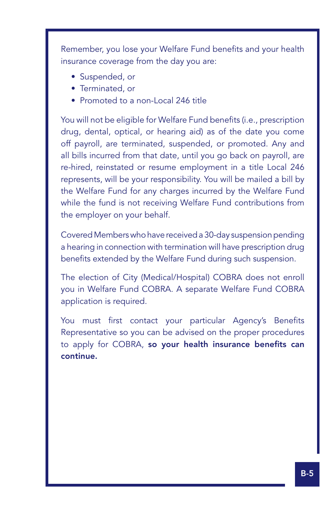Remember, you lose your Welfare Fund benefits and your health insurance coverage from the day you are:

• Suspended, or

Ϊ

- Terminated, or
- Promoted to a non-Local 246 title

You will not be eligible for Welfare Fund benefits (i.e., prescription drug, dental, optical, or hearing aid) as of the date you come off payroll, are terminated, suspended, or promoted. Any and all bills incurred from that date, until you go back on payroll, are re-hired, reinstated or resume employment in a title Local 246 represents, will be your responsibility. You will be mailed a bill by the Welfare Fund for any charges incurred by the Welfare Fund while the fund is not receiving Welfare Fund contributions from the employer on your behalf.

Covered Members who have received a 30-day suspension pending a hearing in connection with termination will have prescription drug benefits extended by the Welfare Fund during such suspension.

The election of City (Medical/Hospital) COBRA does not enroll you in Welfare Fund COBRA. A separate Welfare Fund COBRA application is required.

You must first contact your particular Agency's Benefits Representative so you can be advised on the proper procedures to apply for COBRA, so your health insurance benefits can continue.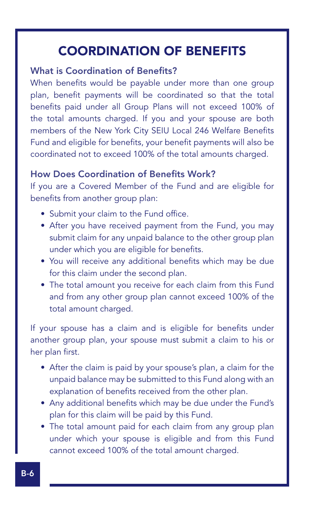### COORDINATION OF BENEFITS

### What is Coordination of Benefits?

When benefits would be payable under more than one group plan, benefit payments will be coordinated so that the total benefits paid under all Group Plans will not exceed 100% of the total amounts charged. If you and your spouse are both members of the New York City SEIU Local 246 Welfare Benefits Fund and eligible for benefits, your benefit payments will also be coordinated not to exceed 100% of the total amounts charged.

### How Does Coordination of Benefits Work?

If you are a Covered Member of the Fund and are eligible for benefits from another group plan:

- Submit your claim to the Fund office.
- After you have received payment from the Fund, you may submit claim for any unpaid balance to the other group plan under which you are eligible for benefits.
- You will receive any additional benefits which may be due for this claim under the second plan.
- The total amount you receive for each claim from this Fund and from any other group plan cannot exceed 100% of the total amount charged.

If your spouse has a claim and is eligible for benefits under another group plan, your spouse must submit a claim to his or her plan first.

- After the claim is paid by your spouse's plan, a claim for the unpaid balance may be submitted to this Fund along with an explanation of benefits received from the other plan.
- Any additional benefits which may be due under the Fund's plan for this claim will be paid by this Fund.
- The total amount paid for each claim from any group plan under which your spouse is eligible and from this Fund cannot exceed 100% of the total amount charged.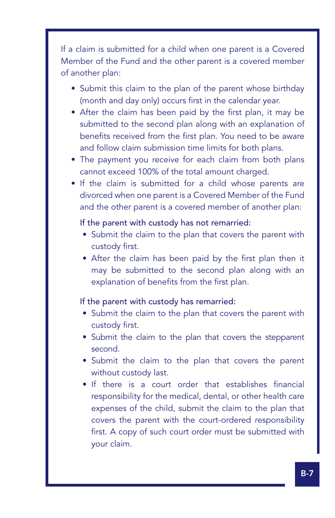If a claim is submitted for a child when one parent is a Covered Member of the Fund and the other parent is a covered member of another plan:

Ϊ

- Submit this claim to the plan of the parent whose birthday (month and day only) occurs first in the calendar year.
- After the claim has been paid by the first plan, it may be submitted to the second plan along with an explanation of benefits received from the first plan. You need to be aware and follow claim submission time limits for both plans.
- The payment you receive for each claim from both plans cannot exceed 100% of the total amount charged.
- If the claim is submitted for a child whose parents are divorced when one parent is a Covered Member of the Fund and the other parent is a covered member of another plan:

### If the parent with custody has not remarried:

- Submit the claim to the plan that covers the parent with custody first.
- After the claim has been paid by the first plan then it may be submitted to the second plan along with an explanation of benefits from the first plan.

#### If the parent with custody has remarried:

- Submit the claim to the plan that covers the parent with custody first.
- Submit the claim to the plan that covers the stepparent second.
- Submit the claim to the plan that covers the parent without custody last.
- If there is a court order that establishes financial responsibility for the medical, dental, or other health care expenses of the child, submit the claim to the plan that covers the parent with the court-ordered responsibility first. A copy of such court order must be submitted with your claim.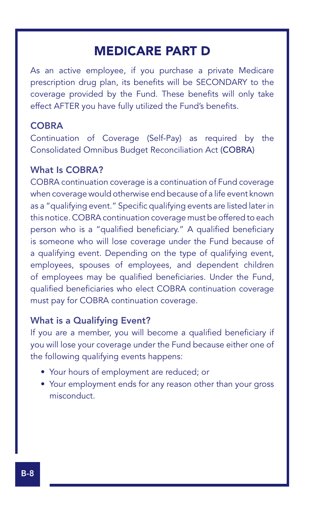### MEDICARE PART D

As an active employee, if you purchase a private Medicare prescription drug plan, its benefits will be SECONDARY to the coverage provided by the Fund. These benefits will only take effect AFTER you have fully utilized the Fund's benefits.

### **COBRA**

Continuation of Coverage (Self-Pay) as required by the Consolidated Omnibus Budget Reconciliation Act (COBRA)

#### What Is COBRA?

COBRA continuation coverage is a continuation of Fund coverage when coverage would otherwise end because of a life event known as a "qualifying event." Specific qualifying events are listed later in this notice. COBRA continuation coverage must be offered to each person who is a "qualified beneficiary." A qualified beneficiary is someone who will lose coverage under the Fund because of a qualifying event. Depending on the type of qualifying event, employees, spouses of employees, and dependent children of employees may be qualified beneficiaries. Under the Fund, qualified beneficiaries who elect COBRA continuation coverage must pay for COBRA continuation coverage.

#### What is a Qualifying Event?

If you are a member, you will become a qualified beneficiary if you will lose your coverage under the Fund because either one of the following qualifying events happens:

- Your hours of employment are reduced; or
- Your employment ends for any reason other than your gross misconduct.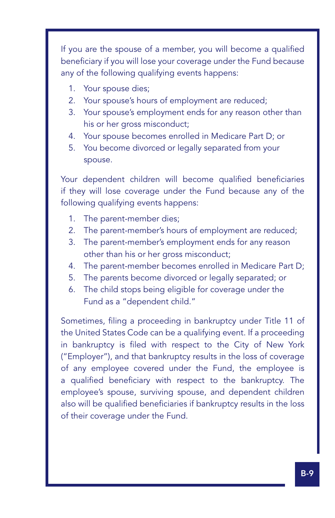If you are the spouse of a member, you will become a qualified beneficiary if you will lose your coverage under the Fund because any of the following qualifying events happens:

1. Your spouse dies;

Ϊ

- 2. Your spouse's hours of employment are reduced;
- 3. Your spouse's employment ends for any reason other than his or her gross misconduct;
- 4. Your spouse becomes enrolled in Medicare Part D; or
- 5. You become divorced or legally separated from your spouse.

Your dependent children will become qualified beneficiaries if they will lose coverage under the Fund because any of the following qualifying events happens:

- 1. The parent-member dies;
- 2. The parent-member's hours of employment are reduced;
- 3. The parent-member's employment ends for any reason other than his or her gross misconduct;
- 4. The parent-member becomes enrolled in Medicare Part D;
- 5. The parents become divorced or legally separated; or
- 6. The child stops being eligible for coverage under the Fund as a "dependent child."

Sometimes, filing a proceeding in bankruptcy under Title 11 of the United States Code can be a qualifying event. If a proceeding in bankruptcy is filed with respect to the City of New York ("Employer"), and that bankruptcy results in the loss of coverage of any employee covered under the Fund, the employee is a qualified beneficiary with respect to the bankruptcy. The employee's spouse, surviving spouse, and dependent children also will be qualified beneficiaries if bankruptcy results in the loss of their coverage under the Fund.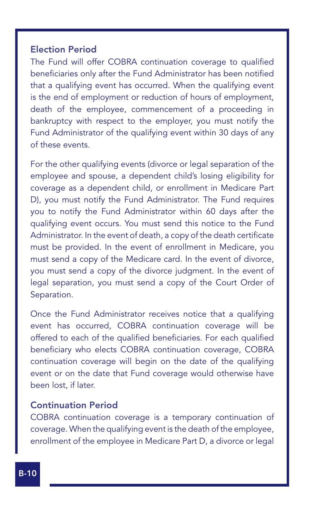### Election Period

The Fund will offer COBRA continuation coverage to qualified beneficiaries only after the Fund Administrator has been notified that a qualifying event has occurred. When the qualifying event is the end of employment or reduction of hours of employment, death of the employee, commencement of a proceeding in bankruptcy with respect to the employer, you must notify the Fund Administrator of the qualifying event within 30 days of any of these events.

For the other qualifying events (divorce or legal separation of the employee and spouse, a dependent child's losing eligibility for coverage as a dependent child, or enrollment in Medicare Part D), you must notify the Fund Administrator. The Fund requires you to notify the Fund Administrator within 60 days after the qualifying event occurs. You must send this notice to the Fund Administrator. In the event of death, a copy of the death certificate must be provided. In the event of enrollment in Medicare, you must send a copy of the Medicare card. In the event of divorce, you must send a copy of the divorce judgment. In the event of legal separation, you must send a copy of the Court Order of Separation.

Once the Fund Administrator receives notice that a qualifying event has occurred, COBRA continuation coverage will be offered to each of the qualified beneficiaries. For each qualified beneficiary who elects COBRA continuation coverage, COBRA continuation coverage will begin on the date of the qualifying event or on the date that Fund coverage would otherwise have been lost, if later.

### Continuation Period

COBRA continuation coverage is a temporary continuation of coverage. When the qualifying event is the death of the employee, enrollment of the employee in Medicare Part D, a divorce or legal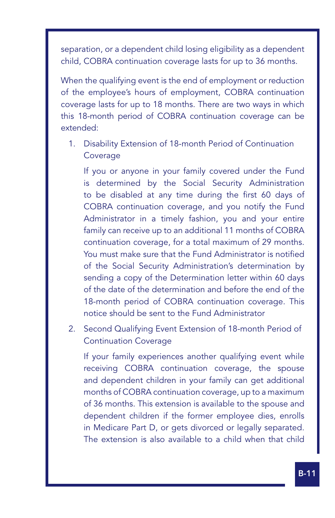separation, or a dependent child losing eligibility as a dependent child, COBRA continuation coverage lasts for up to 36 months.

Ϊ

When the qualifying event is the end of employment or reduction of the employee's hours of employment, COBRA continuation coverage lasts for up to 18 months. There are two ways in which this 18-month period of COBRA continuation coverage can be extended:

1. Disability Extension of 18-month Period of Continuation Coverage

If you or anyone in your family covered under the Fund is determined by the Social Security Administration to be disabled at any time during the first 60 days of COBRA continuation coverage, and you notify the Fund Administrator in a timely fashion, you and your entire family can receive up to an additional 11 months of COBRA continuation coverage, for a total maximum of 29 months. You must make sure that the Fund Administrator is notified of the Social Security Administration's determination by sending a copy of the Determination letter within 60 days of the date of the determination and before the end of the 18-month period of COBRA continuation coverage. This notice should be sent to the Fund Administrator

2. Second Qualifying Event Extension of 18-month Period of Continuation Coverage

If your family experiences another qualifying event while receiving COBRA continuation coverage, the spouse and dependent children in your family can get additional months of COBRA continuation coverage, up to a maximum of 36 months. This extension is available to the spouse and dependent children if the former employee dies, enrolls in Medicare Part D, or gets divorced or legally separated. The extension is also available to a child when that child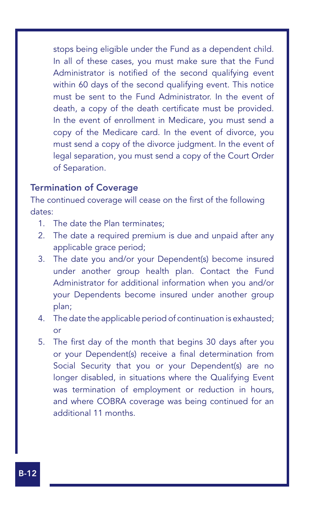stops being eligible under the Fund as a dependent child. In all of these cases, you must make sure that the Fund Administrator is notified of the second qualifying event within 60 days of the second qualifying event. This notice must be sent to the Fund Administrator. In the event of death, a copy of the death certificate must be provided. In the event of enrollment in Medicare, you must send a copy of the Medicare card. In the event of divorce, you must send a copy of the divorce judgment. In the event of legal separation, you must send a copy of the Court Order of Separation.

### Termination of Coverage

The continued coverage will cease on the first of the following dates:

- 1. The date the Plan terminates;
- 2. The date a required premium is due and unpaid after any applicable grace period;
- 3. The date you and/or your Dependent(s) become insured under another group health plan. Contact the Fund Administrator for additional information when you and/or your Dependents become insured under another group plan;
- 4. The date the applicable period of continuation is exhausted; or
- 5. The first day of the month that begins 30 days after you or your Dependent(s) receive a final determination from Social Security that you or your Dependent(s) are no longer disabled, in situations where the Qualifying Event was termination of employment or reduction in hours, and where COBRA coverage was being continued for an additional 11 months.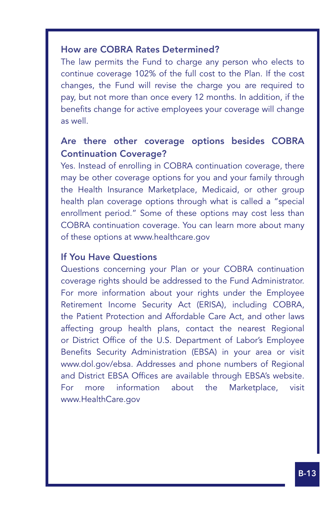### How are COBRA Rates Determined?

Ϊ

The law permits the Fund to charge any person who elects to continue coverage 102% of the full cost to the Plan. If the cost changes, the Fund will revise the charge you are required to pay, but not more than once every 12 months. In addition, if the benefits change for active employees your coverage will change as well.

### Are there other coverage options besides COBRA Continuation Coverage?

Yes. Instead of enrolling in COBRA continuation coverage, there may be other coverage options for you and your family through the Health Insurance Marketplace, Medicaid, or other group health plan coverage options through what is called a "special enrollment period." Some of these options may cost less than COBRA continuation coverage. You can learn more about many of these options at www.healthcare.gov

#### If You Have Questions

Questions concerning your Plan or your COBRA continuation coverage rights should be addressed to the Fund Administrator. For more information about your rights under the Employee Retirement Income Security Act (ERISA), including COBRA, the Patient Protection and Affordable Care Act, and other laws affecting group health plans, contact the nearest Regional or District Office of the U.S. Department of Labor's Employee Benefits Security Administration (EBSA) in your area or visit www.dol.gov/ebsa. Addresses and phone numbers of Regional and District EBSA Offices are available through EBSA's website. For more information about the Marketplace, visit www.HealthCare.gov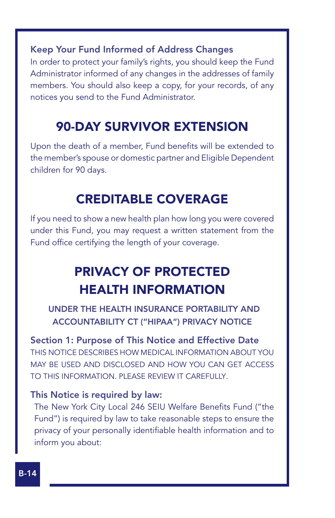Keep Your Fund Informed of Address Changes

In order to protect your family's rights, you should keep the Fund Administrator informed of any changes in the addresses of family members. You should also keep a copy, for your records, of any notices you send to the Fund Administrator.

### 90-DAY SURVIVOR EXTENSION

Upon the death of a member, Fund benefits will be extended to the member's spouse or domestic partner and Eligible Dependent children for 90 days.

### CREDITABLE COVERAGE

If you need to show a new health plan how long you were covered under this Fund, you may request a written statement from the Fund office certifying the length of your coverage.

### PRIVACY OF PROTECTED HEALTH INFORMATION

UNDER THE HEALTH INSURANCE PORTABILITY AND ACCOUNTABILITY CT ("HIPAA") PRIVACY NOTICE

Section 1: Purpose of This Notice and Effective Date THIS NOTICE DESCRIBES HOW MEDICAL INFORMATION ABOUT YOU MAY BE USED AND DISCLOSED AND HOW YOU CAN GET ACCESS TO THIS INFORMATION. PLEASE REVIEW IT CAREFULLY.

### This Notice is required by law:

The New York City Local 246 SEIU Welfare Benefits Fund ("the Fund") is required by law to take reasonable steps to ensure the privacy of your personally identifiable health information and to inform you about: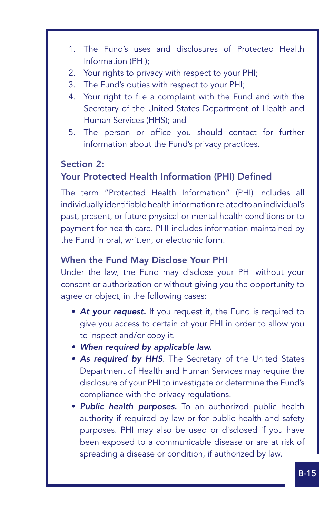- 1. The Fund's uses and disclosures of Protected Health Information (PHI);
- 2. Your rights to privacy with respect to your PHI;
- 3. The Fund's duties with respect to your PHI;
- 4. Your right to file a complaint with the Fund and with the Secretary of the United States Department of Health and Human Services (HHS); and
- 5. The person or office you should contact for further information about the Fund's privacy practices.

### Section 2:

Ϊ

### Your Protected Health Information (PHI) Defined

The term "Protected Health Information" (PHI) includes all individually identifiable health information related to an individual's past, present, or future physical or mental health conditions or to payment for health care. PHI includes information maintained by the Fund in oral, written, or electronic form.

### When the Fund May Disclose Your PHI

Under the law, the Fund may disclose your PHI without your consent or authorization or without giving you the opportunity to agree or object, in the following cases:

- **At your request.** If you request it, the Fund is required to give you access to certain of your PHI in order to allow you to inspect and/or copy it.
- • *When required by applicable law.*
- As required by HHS. The Secretary of the United States Department of Health and Human Services may require the disclosure of your PHI to investigate or determine the Fund's compliance with the privacy regulations.
- • *Public health purposes.* To an authorized public health authority if required by law or for public health and safety purposes. PHI may also be used or disclosed if you have been exposed to a communicable disease or are at risk of spreading a disease or condition, if authorized by law.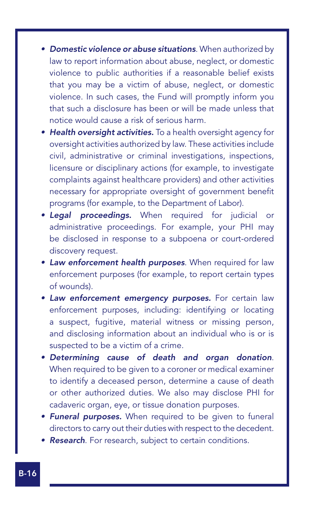- • *Domestic violence or abuse situations*. When authorized by law to report information about abuse, neglect, or domestic violence to public authorities if a reasonable belief exists that you may be a victim of abuse, neglect, or domestic violence. In such cases, the Fund will promptly inform you that such a disclosure has been or will be made unless that notice would cause a risk of serious harm.
- **Health oversight activities.** To a health oversight agency for oversight activities authorized by law. These activities include civil, administrative or criminal investigations, inspections, licensure or disciplinary actions (for example, to investigate complaints against healthcare providers) and other activities necessary for appropriate oversight of government benefit programs (for example, to the Department of Labor).
- • *Legal proceedings.* When required for judicial or administrative proceedings. For example, your PHI may be disclosed in response to a subpoena or court-ordered discovery request.
- • *Law enforcement health purposes*. When required for law enforcement purposes (for example, to report certain types of wounds).
- • *Law enforcement emergency purposes.* For certain law enforcement purposes, including: identifying or locating a suspect, fugitive, material witness or missing person, and disclosing information about an individual who is or is suspected to be a victim of a crime.
- • *Determining cause of death and organ donation*. When required to be given to a coroner or medical examiner to identify a deceased person, determine a cause of death or other authorized duties. We also may disclose PHI for cadaveric organ, eye, or tissue donation purposes.
- **Funeral purposes.** When required to be given to funeral directors to carry out their duties with respect to the decedent.
- **Research**. For research, subject to certain conditions.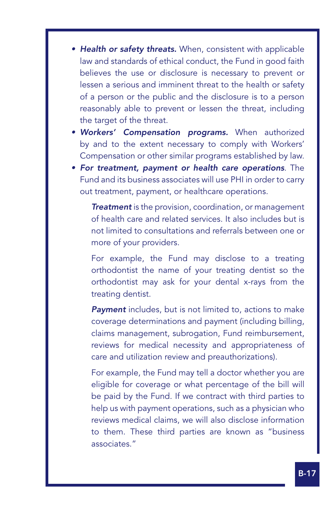• **Health or safety threats.** When, consistent with applicable law and standards of ethical conduct, the Fund in good faith believes the use or disclosure is necessary to prevent or lessen a serious and imminent threat to the health or safety of a person or the public and the disclosure is to a person reasonably able to prevent or lessen the threat, including the target of the threat.

Ϊ

- • *Workers' Compensation programs.* When authorized by and to the extent necessary to comply with Workers' Compensation or other similar programs established by law.
- • *For treatment, payment or health care operations*. The Fund and its business associates will use PHI in order to carry out treatment, payment, or healthcare operations.

**Treatment** is the provision, coordination, or management of health care and related services. It also includes but is not limited to consultations and referrals between one or more of your providers.

For example, the Fund may disclose to a treating orthodontist the name of your treating dentist so the orthodontist may ask for your dental x-rays from the treating dentist.

*Payment* includes, but is not limited to, actions to make coverage determinations and payment (including billing, claims management, subrogation, Fund reimbursement, reviews for medical necessity and appropriateness of care and utilization review and preauthorizations).

For example, the Fund may tell a doctor whether you are eligible for coverage or what percentage of the bill will be paid by the Fund. If we contract with third parties to help us with payment operations, such as a physician who reviews medical claims, we will also disclose information to them. These third parties are known as "business associates."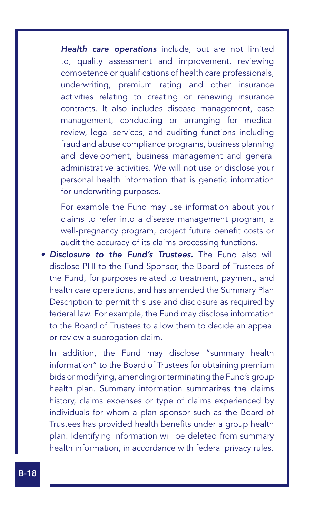*Health care operations* include, but are not limited to, quality assessment and improvement, reviewing competence or qualifications of health care professionals, underwriting, premium rating and other insurance activities relating to creating or renewing insurance contracts. It also includes disease management, case management, conducting or arranging for medical review, legal services, and auditing functions including fraud and abuse compliance programs, business planning and development, business management and general administrative activities. We will not use or disclose your personal health information that is genetic information for underwriting purposes.

For example the Fund may use information about your claims to refer into a disease management program, a well-pregnancy program, project future benefit costs or audit the accuracy of its claims processing functions.

• *Disclosure to the Fund's Trustees.* The Fund also will disclose PHI to the Fund Sponsor, the Board of Trustees of the Fund, for purposes related to treatment, payment, and health care operations, and has amended the Summary Plan Description to permit this use and disclosure as required by federal law. For example, the Fund may disclose information to the Board of Trustees to allow them to decide an appeal or review a subrogation claim.

In addition, the Fund may disclose "summary health information" to the Board of Trustees for obtaining premium bids or modifying, amending or terminating the Fund's group health plan. Summary information summarizes the claims history, claims expenses or type of claims experienced by individuals for whom a plan sponsor such as the Board of Trustees has provided health benefits under a group health plan. Identifying information will be deleted from summary health information, in accordance with federal privacy rules.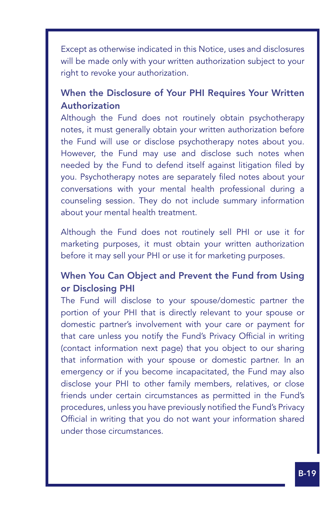Except as otherwise indicated in this Notice, uses and disclosures will be made only with your written authorization subject to your right to revoke your authorization.

Ϊ

### When the Disclosure of Your PHI Requires Your Written **Authorization**

Although the Fund does not routinely obtain psychotherapy notes, it must generally obtain your written authorization before the Fund will use or disclose psychotherapy notes about you. However, the Fund may use and disclose such notes when needed by the Fund to defend itself against litigation filed by you. Psychotherapy notes are separately filed notes about your conversations with your mental health professional during a counseling session. They do not include summary information about your mental health treatment.

Although the Fund does not routinely sell PHI or use it for marketing purposes, it must obtain your written authorization before it may sell your PHI or use it for marketing purposes.

### When You Can Object and Prevent the Fund from Using or Disclosing PHI

The Fund will disclose to your spouse/domestic partner the portion of your PHI that is directly relevant to your spouse or domestic partner's involvement with your care or payment for that care unless you notify the Fund's Privacy Official in writing (contact information next page) that you object to our sharing that information with your spouse or domestic partner. In an emergency or if you become incapacitated, the Fund may also disclose your PHI to other family members, relatives, or close friends under certain circumstances as permitted in the Fund's procedures, unless you have previously notified the Fund's Privacy Official in writing that you do not want your information shared under those circumstances.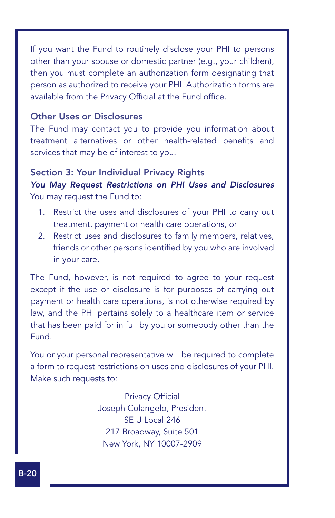If you want the Fund to routinely disclose your PHI to persons other than your spouse or domestic partner (e.g., your children), then you must complete an authorization form designating that person as authorized to receive your PHI. Authorization forms are available from the Privacy Official at the Fund office.

#### Other Uses or Disclosures

The Fund may contact you to provide you information about treatment alternatives or other health-related benefits and services that may be of interest to you.

#### Section 3: Your Individual Privacy Rights

*You May Request Restrictions on PHI Uses and Disclosures* You may request the Fund to:

- 1. Restrict the uses and disclosures of your PHI to carry out treatment, payment or health care operations, or
- 2. Restrict uses and disclosures to family members, relatives, friends or other persons identified by you who are involved in your care.

The Fund, however, is not required to agree to your request except if the use or disclosure is for purposes of carrying out payment or health care operations, is not otherwise required by law, and the PHI pertains solely to a healthcare item or service that has been paid for in full by you or somebody other than the Fund.

You or your personal representative will be required to complete a form to request restrictions on uses and disclosures of your PHI. Make such requests to:

> Privacy Official Joseph Colangelo, President SEIU Local 246 217 Broadway, Suite 501 New York, NY 10007-2909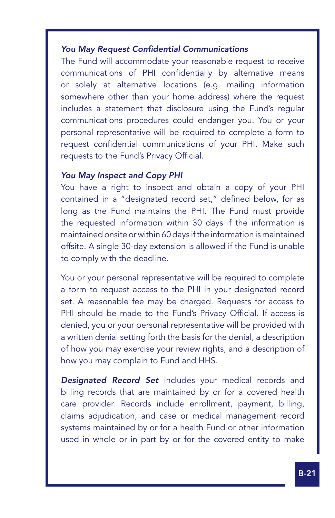#### *You May Request Confidential Communications*

The Fund will accommodate your reasonable request to receive communications of PHI confidentially by alternative means or solely at alternative locations (e.g. mailing information somewhere other than your home address) where the request includes a statement that disclosure using the Fund's regular communications procedures could endanger you. You or your personal representative will be required to complete a form to request confidential communications of your PHI. Make such requests to the Fund's Privacy Official.

#### *You May Inspect and Copy PHI*

Ϊ

You have a right to inspect and obtain a copy of your PHI contained in a "designated record set," defined below, for as long as the Fund maintains the PHI. The Fund must provide the requested information within 30 days if the information is maintained onsite or within 60 days if the information is maintained offsite. A single 30-day extension is allowed if the Fund is unable to comply with the deadline.

You or your personal representative will be required to complete a form to request access to the PHI in your designated record set. A reasonable fee may be charged. Requests for access to PHI should be made to the Fund's Privacy Official. If access is denied, you or your personal representative will be provided with a written denial setting forth the basis for the denial, a description of how you may exercise your review rights, and a description of how you may complain to Fund and HHS.

**Designated Record Set** includes your medical records and billing records that are maintained by or for a covered health care provider. Records include enrollment, payment, billing, claims adjudication, and case or medical management record systems maintained by or for a health Fund or other information used in whole or in part by or for the covered entity to make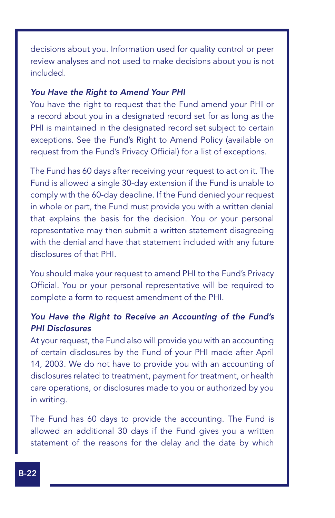decisions about you. Information used for quality control or peer review analyses and not used to make decisions about you is not included.

#### *You Have the Right to Amend Your PHI*

You have the right to request that the Fund amend your PHI or a record about you in a designated record set for as long as the PHI is maintained in the designated record set subject to certain exceptions. See the Fund's Right to Amend Policy (available on request from the Fund's Privacy Official) for a list of exceptions.

The Fund has 60 days after receiving your request to act on it. The Fund is allowed a single 30-day extension if the Fund is unable to comply with the 60-day deadline. If the Fund denied your request in whole or part, the Fund must provide you with a written denial that explains the basis for the decision. You or your personal representative may then submit a written statement disagreeing with the denial and have that statement included with any future disclosures of that PHI.

You should make your request to amend PHI to the Fund's Privacy Official. You or your personal representative will be required to complete a form to request amendment of the PHI.

### *You Have the Right to Receive an Accounting of the Fund's PHI Disclosures*

At your request, the Fund also will provide you with an accounting of certain disclosures by the Fund of your PHI made after April 14, 2003. We do not have to provide you with an accounting of disclosures related to treatment, payment for treatment, or health care operations, or disclosures made to you or authorized by you in writing.

The Fund has 60 days to provide the accounting. The Fund is allowed an additional 30 days if the Fund gives you a written statement of the reasons for the delay and the date by which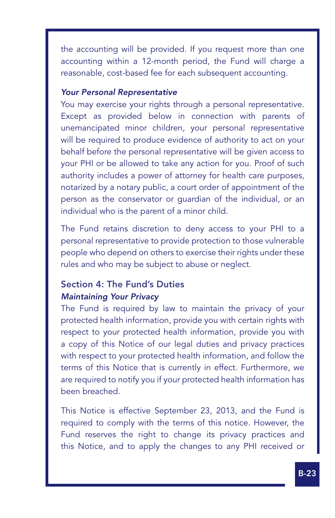the accounting will be provided. If you request more than one accounting within a 12-month period, the Fund will charge a reasonable, cost-based fee for each subsequent accounting.

#### *Your Personal Representative*

Ϊ

You may exercise your rights through a personal representative. Except as provided below in connection with parents of unemancipated minor children, your personal representative will be required to produce evidence of authority to act on your behalf before the personal representative will be given access to your PHI or be allowed to take any action for you. Proof of such authority includes a power of attorney for health care purposes, notarized by a notary public, a court order of appointment of the person as the conservator or guardian of the individual, or an individual who is the parent of a minor child.

The Fund retains discretion to deny access to your PHI to a personal representative to provide protection to those vulnerable people who depend on others to exercise their rights under these rules and who may be subject to abuse or neglect.

### Section 4: The Fund's Duties *Maintaining Your Privacy*

The Fund is required by law to maintain the privacy of your protected health information, provide you with certain rights with respect to your protected health information, provide you with a copy of this Notice of our legal duties and privacy practices with respect to your protected health information, and follow the terms of this Notice that is currently in effect. Furthermore, we are required to notify you if your protected health information has been breached.

This Notice is effective September 23, 2013, and the Fund is required to comply with the terms of this notice. However, the Fund reserves the right to change its privacy practices and this Notice, and to apply the changes to any PHI received or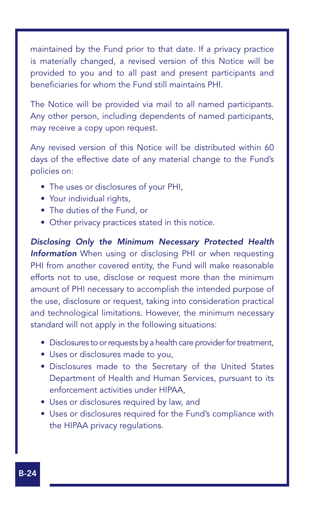maintained by the Fund prior to that date. If a privacy practice is materially changed, a revised version of this Notice will be provided to you and to all past and present participants and beneficiaries for whom the Fund still maintains PHI.

The Notice will be provided via mail to all named participants. Any other person, including dependents of named participants, may receive a copy upon request.

Any revised version of this Notice will be distributed within 60 days of the effective date of any material change to the Fund's policies on:

- The uses or disclosures of your PHI,
- Your individual rights,
- The duties of the Fund, or
- Other privacy practices stated in this notice.

*Disclosing Only the Minimum Necessary Protected Health Information* When using or disclosing PHI or when requesting PHI from another covered entity, the Fund will make reasonable efforts not to use, disclose or request more than the minimum amount of PHI necessary to accomplish the intended purpose of the use, disclosure or request, taking into consideration practical and technological limitations. However, the minimum necessary standard will not apply in the following situations:

- Disclosures to or requests by a health care provider for treatment,
- Uses or disclosures made to you,
- Disclosures made to the Secretary of the United States Department of Health and Human Services, pursuant to its enforcement activities under HIPAA,
- Uses or disclosures required by law, and
- Uses or disclosures required for the Fund's compliance with the HIPAA privacy regulations.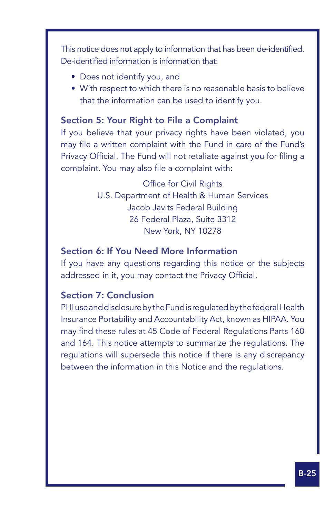This notice does not apply to information that has been de-identified. De-identified information is information that:

• Does not identify you, and

Ϊ

• With respect to which there is no reasonable basis to believe that the information can be used to identify you.

### Section 5: Your Right to File a Complaint

If you believe that your privacy rights have been violated, you may file a written complaint with the Fund in care of the Fund's Privacy Official. The Fund will not retaliate against you for filing a complaint. You may also file a complaint with:

> Office for Civil Rights U.S. Department of Health & Human Services Jacob Javits Federal Building 26 Federal Plaza, Suite 3312 New York, NY 10278

### Section 6: If You Need More Information

If you have any questions regarding this notice or the subjects addressed in it, you may contact the Privacy Official.

### Section 7: Conclusion

PHI use and disclosure by the Fund is regulated by the federal Health Insurance Portability and Accountability Act, known as HIPAA. You may find these rules at 45 Code of Federal Regulations Parts 160 and 164. This notice attempts to summarize the regulations. The regulations will supersede this notice if there is any discrepancy between the information in this Notice and the regulations.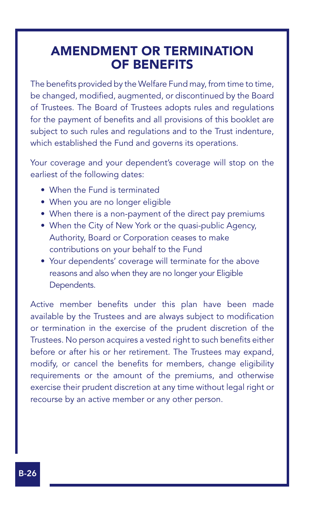### AMENDMENT OR TERMINATION OF BENEFITS

The benefits provided by the Welfare Fund may, from time to time, be changed, modified, augmented, or discontinued by the Board of Trustees. The Board of Trustees adopts rules and regulations for the payment of benefits and all provisions of this booklet are subject to such rules and regulations and to the Trust indenture, which established the Fund and governs its operations.

Your coverage and your dependent's coverage will stop on the earliest of the following dates:

- When the Fund is terminated
- When you are no longer eligible
- When there is a non-payment of the direct pay premiums
- When the City of New York or the quasi-public Agency, Authority, Board or Corporation ceases to make contributions on your behalf to the Fund
- Your dependents' coverage will terminate for the above reasons and also when they are no longer your Eligible Dependents.

Active member benefits under this plan have been made available by the Trustees and are always subject to modification or termination in the exercise of the prudent discretion of the Trustees. No person acquires a vested right to such benefits either before or after his or her retirement. The Trustees may expand, modify, or cancel the benefits for members, change eligibility requirements or the amount of the premiums, and otherwise exercise their prudent discretion at any time without legal right or recourse by an active member or any other person.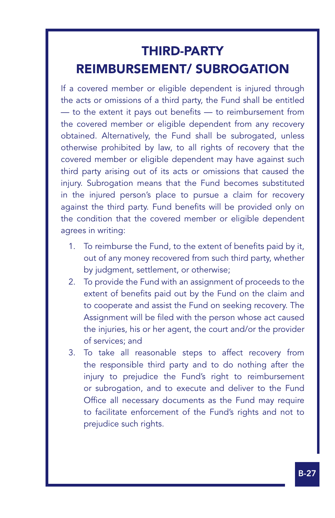## THIRD-PARTY REIMBURSEMENT/ SUBROGATION

Ϊ

If a covered member or eligible dependent is injured through the acts or omissions of a third party, the Fund shall be entitled — to the extent it pays out benefits — to reimbursement from the covered member or eligible dependent from any recovery obtained. Alternatively, the Fund shall be subrogated, unless otherwise prohibited by law, to all rights of recovery that the covered member or eligible dependent may have against such third party arising out of its acts or omissions that caused the injury. Subrogation means that the Fund becomes substituted in the injured person's place to pursue a claim for recovery against the third party. Fund benefits will be provided only on the condition that the covered member or eligible dependent agrees in writing:

- 1. To reimburse the Fund, to the extent of benefits paid by it, out of any money recovered from such third party, whether by judgment, settlement, or otherwise;
- 2. To provide the Fund with an assignment of proceeds to the extent of benefits paid out by the Fund on the claim and to cooperate and assist the Fund on seeking recovery. The Assignment will be filed with the person whose act caused the injuries, his or her agent, the court and/or the provider of services; and
- 3. To take all reasonable steps to affect recovery from the responsible third party and to do nothing after the injury to prejudice the Fund's right to reimbursement or subrogation, and to execute and deliver to the Fund Office all necessary documents as the Fund may require to facilitate enforcement of the Fund's rights and not to prejudice such rights.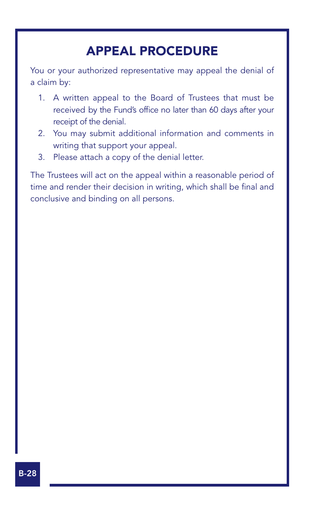### APPEAL PROCEDURE

You or your authorized representative may appeal the denial of a claim by:

- 1. A written appeal to the Board of Trustees that must be received by the Fund's office no later than 60 days after your receipt of the denial.
- 2. You may submit additional information and comments in writing that support your appeal.
- 3. Please attach a copy of the denial letter.

The Trustees will act on the appeal within a reasonable period of time and render their decision in writing, which shall be final and conclusive and binding on all persons.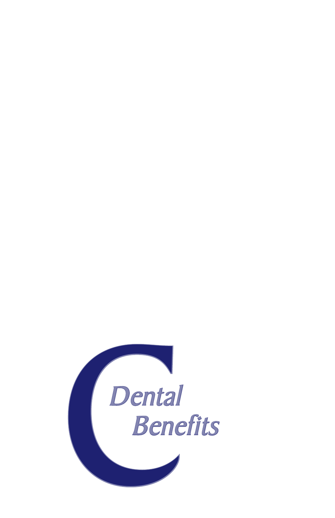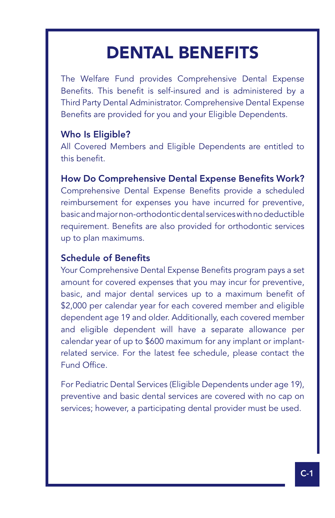# DENTAL BENEFITS

The Welfare Fund provides Comprehensive Dental Expense Benefits. This benefit is self-insured and is administered by a Third Party Dental Administrator. Comprehensive Dental Expense Benefits are provided for you and your Eligible Dependents.

### Who Is Eligible?

Ϊ

All Covered Members and Eligible Dependents are entitled to this benefit.

### How Do Comprehensive Dental Expense Benefits Work?

Comprehensive Dental Expense Benefits provide a scheduled reimbursement for expenses you have incurred for preventive, basic and major non-orthodontic dental services with no deductible requirement. Benefits are also provided for orthodontic services up to plan maximums.

### Schedule of Benefits

Your Comprehensive Dental Expense Benefits program pays a set amount for covered expenses that you may incur for preventive, basic, and major dental services up to a maximum benefit of \$2,000 per calendar year for each covered member and eligible dependent age 19 and older. Additionally, each covered member and eligible dependent will have a separate allowance per calendar year of up to \$600 maximum for any implant or implantrelated service. For the latest fee schedule, please contact the Fund Office.

For Pediatric Dental Services (Eligible Dependents under age 19), preventive and basic dental services are covered with no cap on services; however, a participating dental provider must be used.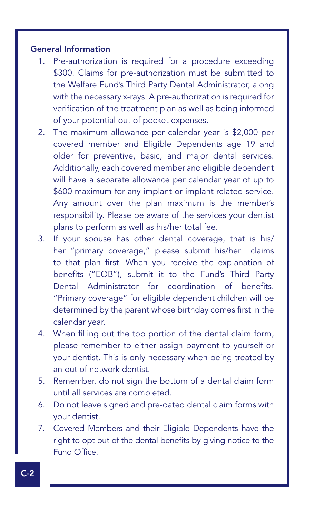### General Information

- 1. Pre-authorization is required for a procedure exceeding \$300. Claims for pre-authorization must be submitted to the Welfare Fund's Third Party Dental Administrator, along with the necessary x-rays. A pre-authorization is required for verification of the treatment plan as well as being informed of your potential out of pocket expenses.
- 2. The maximum allowance per calendar year is \$2,000 per covered member and Eligible Dependents age 19 and older for preventive, basic, and major dental services. Additionally, each covered member and eligible dependent will have a separate allowance per calendar year of up to \$600 maximum for any implant or implant-related service. Any amount over the plan maximum is the member's responsibility. Please be aware of the services your dentist plans to perform as well as his/her total fee.
- 3. If your spouse has other dental coverage, that is his/ her "primary coverage," please submit his/her claims to that plan first. When you receive the explanation of benefits ("EOB"), submit it to the Fund's Third Party Dental Administrator for coordination of benefits. "Primary coverage" for eligible dependent children will be determined by the parent whose birthday comes first in the calendar year.
- 4. When filling out the top portion of the dental claim form, please remember to either assign payment to yourself or your dentist. This is only necessary when being treated by an out of network dentist.
- 5. Remember, do not sign the bottom of a dental claim form until all services are completed.
- 6. Do not leave signed and pre-dated dental claim forms with your dentist.
- 7. Covered Members and their Eligible Dependents have the right to opt-out of the dental benefits by giving notice to the Fund Office.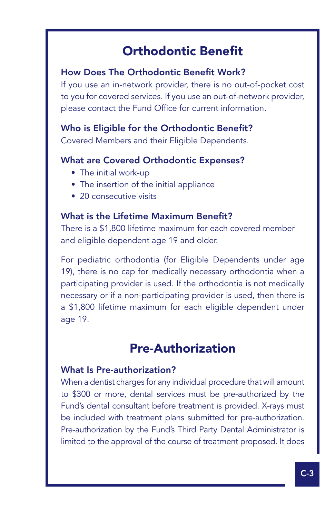### Orthodontic Benefit

### How Does The Orthodontic Benefit Work?

If you use an in-network provider, there is no out-of-pocket cost to you for covered services. If you use an out-of-network provider, please contact the Fund Office for current information.

### Who is Eligible for the Orthodontic Benefit?

Covered Members and their Eligible Dependents.

### What are Covered Orthodontic Expenses?

• The initial work-up

Ϊ

- The insertion of the initial appliance
- 20 consecutive visits

### What is the Lifetime Maximum Benefit?

There is a \$1,800 lifetime maximum for each covered member and eligible dependent age 19 and older.

For pediatric orthodontia (for Eligible Dependents under age 19), there is no cap for medically necessary orthodontia when a participating provider is used. If the orthodontia is not medically necessary or if a non-participating provider is used, then there is a \$1,800 lifetime maximum for each eligible dependent under age 19.

### Pre-Authorization

### What Is Pre-authorization?

When a dentist charges for any individual procedure that will amount to \$300 or more, dental services must be pre-authorized by the Fund's dental consultant before treatment is provided. X-rays must be included with treatment plans submitted for pre-authorization. Pre-authorization by the Fund's Third Party Dental Administrator is limited to the approval of the course of treatment proposed. It does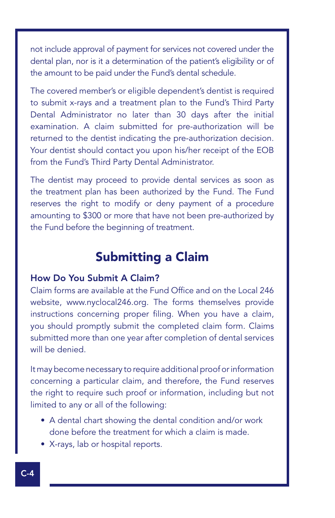not include approval of payment for services not covered under the dental plan, nor is it a determination of the patient's eligibility or of the amount to be paid under the Fund's dental schedule.

The covered member's or eligible dependent's dentist is required to submit x-rays and a treatment plan to the Fund's Third Party Dental Administrator no later than 30 days after the initial examination. A claim submitted for pre-authorization will be returned to the dentist indicating the pre-authorization decision. Your dentist should contact you upon his/her receipt of the EOB from the Fund's Third Party Dental Administrator.

The dentist may proceed to provide dental services as soon as the treatment plan has been authorized by the Fund. The Fund reserves the right to modify or deny payment of a procedure amounting to \$300 or more that have not been pre-authorized by the Fund before the beginning of treatment.

### Submitting a Claim

### How Do You Submit A Claim?

Claim forms are available at the Fund Office and on the Local 246 website, www.nyclocal246.org. The forms themselves provide instructions concerning proper filing. When you have a claim, you should promptly submit the completed claim form. Claims submitted more than one year after completion of dental services will be denied.

It may become necessary to require additional proof or information concerning a particular claim, and therefore, the Fund reserves the right to require such proof or information, including but not limited to any or all of the following:

- A dental chart showing the dental condition and/or work done before the treatment for which a claim is made.
- X-rays, lab or hospital reports.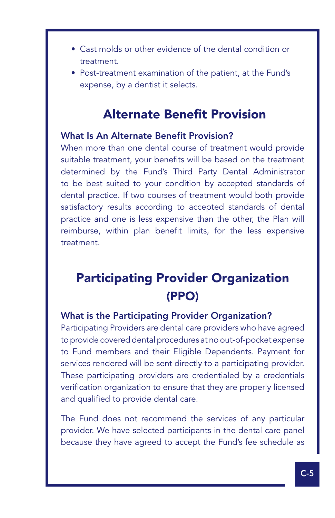- Cast molds or other evidence of the dental condition or treatment.
- Post-treatment examination of the patient, at the Fund's expense, by a dentist it selects.

### Alternate Benefit Provision

#### What Is An Alternate Benefit Provision?

Ϊ

When more than one dental course of treatment would provide suitable treatment, your benefits will be based on the treatment determined by the Fund's Third Party Dental Administrator to be best suited to your condition by accepted standards of dental practice. If two courses of treatment would both provide satisfactory results according to accepted standards of dental practice and one is less expensive than the other, the Plan will reimburse, within plan benefit limits, for the less expensive treatment.

### Participating Provider Organization (PPO)

### What is the Participating Provider Organization?

Participating Providers are dental care providers who have agreed to provide covered dental procedures at no out-of-pocket expense to Fund members and their Eligible Dependents. Payment for services rendered will be sent directly to a participating provider. These participating providers are credentialed by a credentials verification organization to ensure that they are properly licensed and qualified to provide dental care.

The Fund does not recommend the services of any particular provider. We have selected participants in the dental care panel because they have agreed to accept the Fund's fee schedule as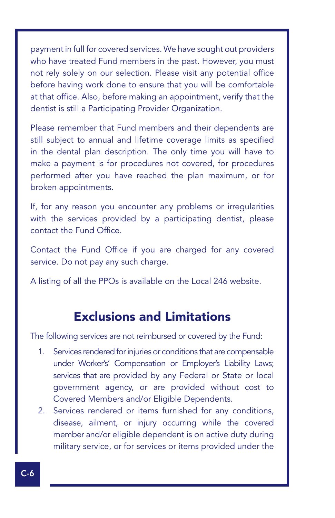payment in full for covered services. We have sought out providers who have treated Fund members in the past. However, you must not rely solely on our selection. Please visit any potential office before having work done to ensure that you will be comfortable at that office. Also, before making an appointment, verify that the dentist is still a Participating Provider Organization.

Please remember that Fund members and their dependents are still subject to annual and lifetime coverage limits as specified in the dental plan description. The only time you will have to make a payment is for procedures not covered, for procedures performed after you have reached the plan maximum, or for broken appointments.

If, for any reason you encounter any problems or irregularities with the services provided by a participating dentist, please contact the Fund Office.

Contact the Fund Office if you are charged for any covered service. Do not pay any such charge.

A listing of all the PPOs is available on the Local 246 website.

### Exclusions and Limitations

The following services are not reimbursed or covered by the Fund:

- 1. Services rendered for injuries or conditions that are compensable under Worker's' Compensation or Employer's Liability Laws; services that are provided by any Federal or State or local government agency, or are provided without cost to Covered Members and/or Eligible Dependents.
- 2. Services rendered or items furnished for any conditions, disease, ailment, or injury occurring while the covered member and/or eligible dependent is on active duty during military service, or for services or items provided under the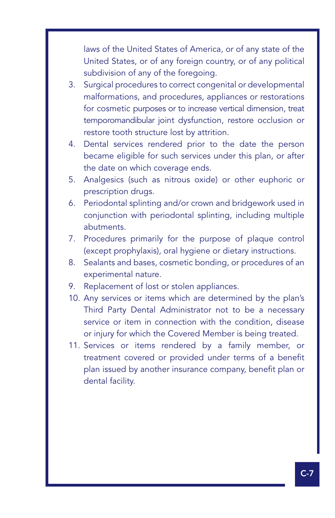laws of the United States of America, or of any state of the United States, or of any foreign country, or of any political subdivision of any of the foregoing.

Ϊ

- 3. Surgical procedures to correct congenital or developmental malformations, and procedures, appliances or restorations for cosmetic purposes or to increase vertical dimension, treat temporomandibular joint dysfunction, restore occlusion or restore tooth structure lost by attrition.
- 4. Dental services rendered prior to the date the person became eligible for such services under this plan, or after the date on which coverage ends.
- 5. Analgesics (such as nitrous oxide) or other euphoric or prescription drugs.
- 6. Periodontal splinting and/or crown and bridgework used in conjunction with periodontal splinting, including multiple abutments.
- 7. Procedures primarily for the purpose of plaque control (except prophylaxis), oral hygiene or dietary instructions.
- 8. Sealants and bases, cosmetic bonding, or procedures of an experimental nature.
- 9. Replacement of lost or stolen appliances.
- 10. Any services or items which are determined by the plan's Third Party Dental Administrator not to be a necessary service or item in connection with the condition, disease or injury for which the Covered Member is being treated.
- 11. Services or items rendered by a family member, or treatment covered or provided under terms of a benefit plan issued by another insurance company, benefit plan or dental facility.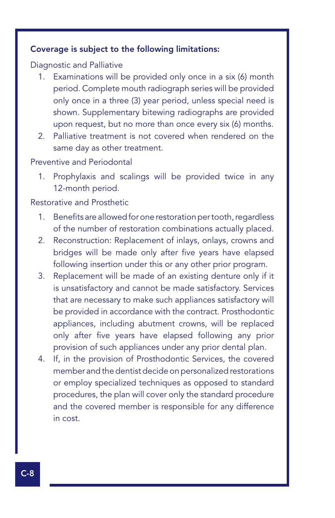#### Coverage is subject to the following limitations:

#### Diagnostic and Palliative

- 1. Examinations will be provided only once in a six (6) month period. Complete mouth radiograph series will be provided only once in a three (3) year period, unless special need is shown. Supplementary bitewing radiographs are provided upon request, but no more than once every six (6) months.
- 2. Palliative treatment is not covered when rendered on the same day as other treatment.

#### Preventive and Periodontal

1. Prophylaxis and scalings will be provided twice in any 12-month period.

#### Restorative and Prosthetic

- 1. Benefits are allowed for one restoration per tooth, regardless of the number of restoration combinations actually placed.
- 2. Reconstruction: Replacement of inlays, onlays, crowns and bridges will be made only after five years have elapsed following insertion under this or any other prior program.
- 3. Replacement will be made of an existing denture only if it is unsatisfactory and cannot be made satisfactory. Services that are necessary to make such appliances satisfactory will be provided in accordance with the contract. Prosthodontic appliances, including abutment crowns, will be replaced only after five years have elapsed following any prior provision of such appliances under any prior dental plan.
- 4. If, in the provision of Prosthodontic Services, the covered member and the dentist decide on personalized restorations or employ specialized techniques as opposed to standard procedures, the plan will cover only the standard procedure and the covered member is responsible for any difference in cost.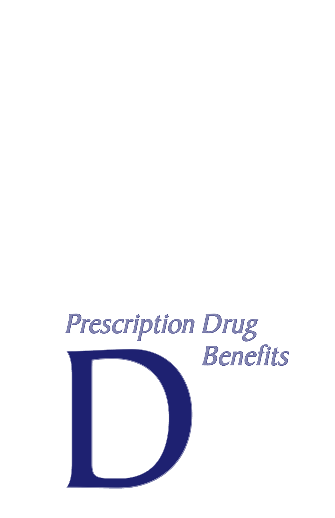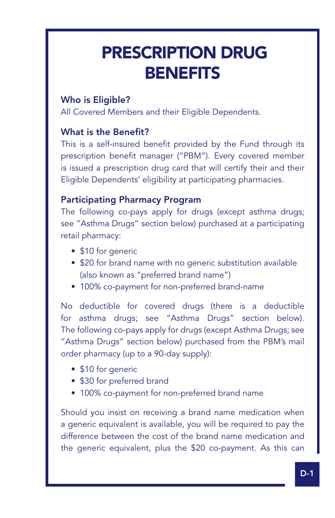# PRESCRIPTION DRUG **BENEFITS**

### Who is Eligible?

Ϊ

All Covered Members and their Eligible Dependents.

### What is the Benefit?

This is a self-insured benefit provided by the Fund through its prescription benefit manager ("PBM"). Every covered member is issued a prescription drug card that will certify their and their Eligible Dependents' eligibility at participating pharmacies.

### Participating Pharmacy Program

The following co-pays apply for drugs (except asthma drugs; see "Asthma Drugs" section below) purchased at a participating retail pharmacy:

- \$10 for generic
- \$20 for brand name with no generic substitution available (also known as "preferred brand name")
- 100% co-payment for non-preferred brand-name

No deductible for covered drugs (there is a deductible for asthma drugs; see "Asthma Drugs" section below). The following co-pays apply for drugs (except Asthma Drugs; see "Asthma Drugs" section below) purchased from the PBM's mail order pharmacy (up to a 90-day supply):

- \$10 for generic
- \$30 for preferred brand
- 100% co-payment for non-preferred brand name

Should you insist on receiving a brand name medication when a generic equivalent is available, you will be required to pay the difference between the cost of the brand name medication and the generic equivalent, plus the \$20 co-payment. As this can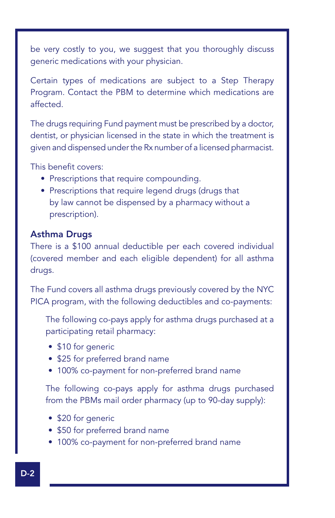be very costly to you, we suggest that you thoroughly discuss generic medications with your physician.

Certain types of medications are subject to a Step Therapy Program. Contact the PBM to determine which medications are affected.

The drugs requiring Fund payment must be prescribed by a doctor, dentist, or physician licensed in the state in which the treatment is given and dispensed under the Rx number of a licensed pharmacist.

This benefit covers:

- Prescriptions that require compounding.
- Prescriptions that require legend drugs (drugs that by law cannot be dispensed by a pharmacy without a prescription).

### Asthma Drugs

There is a \$100 annual deductible per each covered individual (covered member and each eligible dependent) for all asthma drugs.

The Fund covers all asthma drugs previously covered by the NYC PICA program, with the following deductibles and co-payments:

The following co-pays apply for asthma drugs purchased at a participating retail pharmacy:

- \$10 for generic
- \$25 for preferred brand name
- 100% co-payment for non-preferred brand name

The following co-pays apply for asthma drugs purchased from the PBMs mail order pharmacy (up to 90-day supply):

- \$20 for generic
- \$50 for preferred brand name
- 100% co-payment for non-preferred brand name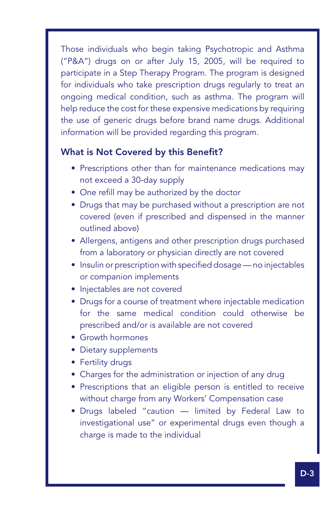Those individuals who begin taking Psychotropic and Asthma ("P&A") drugs on or after July 15, 2005, will be required to participate in a Step Therapy Program. The program is designed for individuals who take prescription drugs regularly to treat an ongoing medical condition, such as asthma. The program will help reduce the cost for these expensive medications by requiring the use of generic drugs before brand name drugs. Additional information will be provided regarding this program.

### What is Not Covered by this Benefit?

Ϊ

- Prescriptions other than for maintenance medications may not exceed a 30-day supply
- One refill may be authorized by the doctor
- Drugs that may be purchased without a prescription are not covered (even if prescribed and dispensed in the manner outlined above)
- Allergens, antigens and other prescription drugs purchased from a laboratory or physician directly are not covered
- Insulin or prescription with specified dosage no injectables or companion implements
- Injectables are not covered
- Drugs for a course of treatment where injectable medication for the same medical condition could otherwise be prescribed and/or is available are not covered
- Growth hormones
- Dietary supplements
- Fertility drugs
- Charges for the administration or injection of any drug
- Prescriptions that an eligible person is entitled to receive without charge from any Workers' Compensation case
- • Drugs labeled "caution limited by Federal Law to investigational use" or experimental drugs even though a charge is made to the individual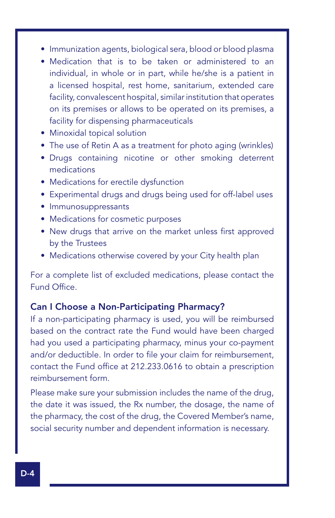- Immunization agents, biological sera, blood or blood plasma
- Medication that is to be taken or administered to an individual, in whole or in part, while he/she is a patient in a licensed hospital, rest home, sanitarium, extended care facility, convalescent hospital, similar institution that operates on its premises or allows to be operated on its premises, a facility for dispensing pharmaceuticals
- • Minoxidal topical solution
- The use of Retin A as a treatment for photo aging (wrinkles)
- Drugs containing nicotine or other smoking deterrent medications
- Medications for erectile dysfunction
- Experimental drugs and drugs being used for off-label uses
- • Immunosuppressants
- Medications for cosmetic purposes
- New drugs that arrive on the market unless first approved by the Trustees
- Medications otherwise covered by your City health plan

For a complete list of excluded medications, please contact the Fund Office.

#### Can I Choose a Non-Participating Pharmacy?

If a non-participating pharmacy is used, you will be reimbursed based on the contract rate the Fund would have been charged had you used a participating pharmacy, minus your co-payment and/or deductible. In order to file your claim for reimbursement, contact the Fund office at 212.233.0616 to obtain a prescription reimbursement form.

Please make sure your submission includes the name of the drug, the date it was issued, the Rx number, the dosage, the name of the pharmacy, the cost of the drug, the Covered Member's name, social security number and dependent information is necessary.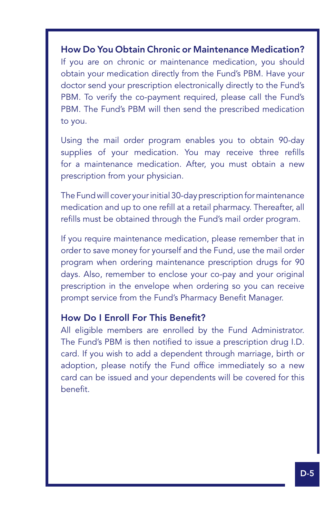### How Do You Obtain Chronic or Maintenance Medication?

Ϊ

If you are on chronic or maintenance medication, you should obtain your medication directly from the Fund's PBM. Have your doctor send your prescription electronically directly to the Fund's PBM. To verify the co-payment required, please call the Fund's PBM. The Fund's PBM will then send the prescribed medication to you.

Using the mail order program enables you to obtain 90-day supplies of your medication. You may receive three refills for a maintenance medication. After, you must obtain a new prescription from your physician.

The Fund will cover your initial 30-day prescription for maintenance medication and up to one refill at a retail pharmacy. Thereafter, all refills must be obtained through the Fund's mail order program.

If you require maintenance medication, please remember that in order to save money for yourself and the Fund, use the mail order program when ordering maintenance prescription drugs for 90 days. Also, remember to enclose your co-pay and your original prescription in the envelope when ordering so you can receive prompt service from the Fund's Pharmacy Benefit Manager.

### How Do I Enroll For This Benefit?

All eligible members are enrolled by the Fund Administrator. The Fund's PBM is then notified to issue a prescription drug I.D. card. If you wish to add a dependent through marriage, birth or adoption, please notify the Fund office immediately so a new card can be issued and your dependents will be covered for this benefit.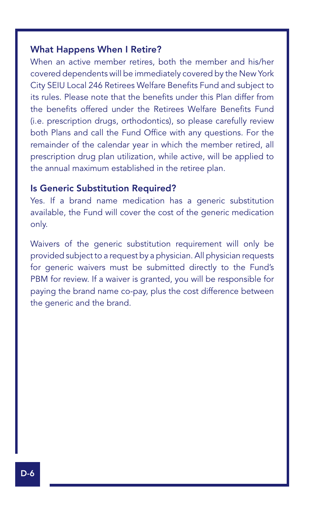### What Happens When I Retire?

When an active member retires, both the member and his/her covered dependents will be immediately covered by the New York City SEIU Local 246 Retirees Welfare Benefits Fund and subject to its rules. Please note that the benefits under this Plan differ from the benefits offered under the Retirees Welfare Benefits Fund (i.e. prescription drugs, orthodontics), so please carefully review both Plans and call the Fund Office with any questions. For the remainder of the calendar year in which the member retired, all prescription drug plan utilization, while active, will be applied to the annual maximum established in the retiree plan.

#### Is Generic Substitution Required?

Yes. If a brand name medication has a generic substitution available, the Fund will cover the cost of the generic medication only.

Waivers of the generic substitution requirement will only be provided subject to a request by a physician. All physician requests for generic waivers must be submitted directly to the Fund's PBM for review. If a waiver is granted, you will be responsible for paying the brand name co-pay, plus the cost difference between the generic and the brand.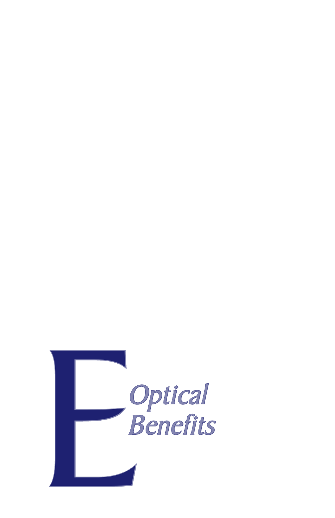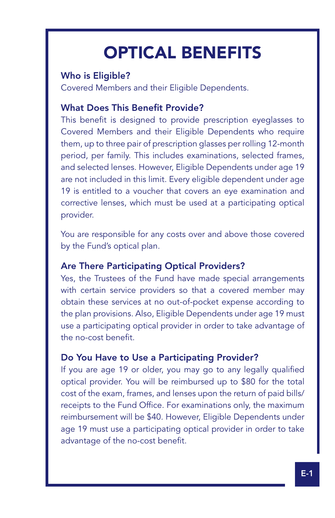# OPTICAL BENEFITS

### Who is Eligible?

Ϊ

Covered Members and their Eligible Dependents.

### What Does This Benefit Provide?

This benefit is designed to provide prescription eyeglasses to Covered Members and their Eligible Dependents who require them, up to three pair of prescription glasses per rolling 12-month period, per family. This includes examinations, selected frames, and selected lenses. However, Eligible Dependents under age 19 are not included in this limit. Every eligible dependent under age 19 is entitled to a voucher that covers an eye examination and corrective lenses, which must be used at a participating optical provider.

You are responsible for any costs over and above those covered by the Fund's optical plan.

### Are There Participating Optical Providers?

Yes, the Trustees of the Fund have made special arrangements with certain service providers so that a covered member may obtain these services at no out-of-pocket expense according to the plan provisions. Also, Eligible Dependents under age 19 must use a participating optical provider in order to take advantage of the no-cost benefit.

### Do You Have to Use a Participating Provider?

If you are age 19 or older, you may go to any legally qualified optical provider. You will be reimbursed up to \$80 for the total cost of the exam, frames, and lenses upon the return of paid bills/ receipts to the Fund Office. For examinations only, the maximum reimbursement will be \$40. However, Eligible Dependents under age 19 must use a participating optical provider in order to take advantage of the no-cost benefit.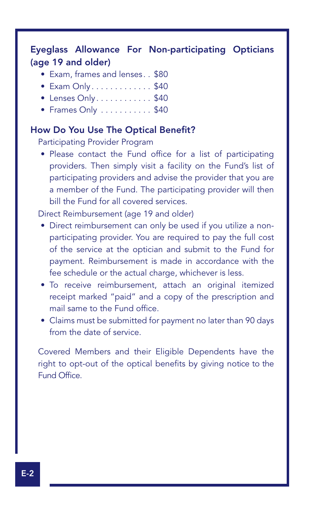### Eyeglass Allowance For Non-participating Opticians (age 19 and older)

- Exam, frames and lenses.. \$80
- $\bullet$  Exam Only.  $\dots \dots \dots$ \$40
- $\bullet$  Lenses Only..........\$40
- $\bullet$  Frames Only  $\dots \dots \dots$ \$40

### How Do You Use The Optical Benefit?

Participating Provider Program

• Please contact the Fund office for a list of participating providers. Then simply visit a facility on the Fund's list of participating providers and advise the provider that you are a member of the Fund. The participating provider will then bill the Fund for all covered services.

Direct Reimbursement (age 19 and older)

- Direct reimbursement can only be used if you utilize a nonparticipating provider. You are required to pay the full cost of the service at the optician and submit to the Fund for payment. Reimbursement is made in accordance with the fee schedule or the actual charge, whichever is less.
- To receive reimbursement, attach an original itemized receipt marked "paid" and a copy of the prescription and mail same to the Fund office.
- Claims must be submitted for payment no later than 90 days from the date of service.

Covered Members and their Eligible Dependents have the right to opt-out of the optical benefits by giving notice to the Fund Office.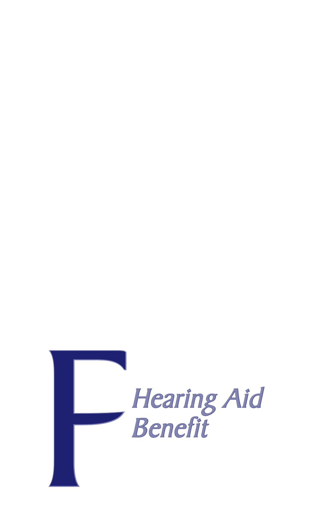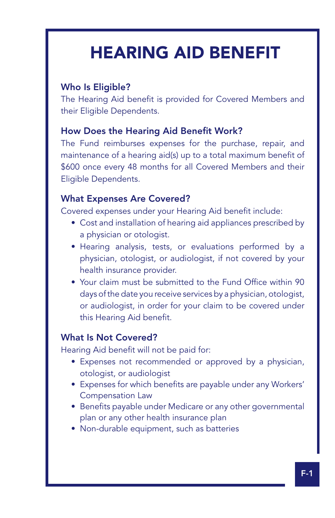# HEARING AID BENEFIT

### Who Is Eligible?

Ϊ

The Hearing Aid benefit is provided for Covered Members and their Eligible Dependents.

### How Does the Hearing Aid Benefit Work?

The Fund reimburses expenses for the purchase, repair, and maintenance of a hearing aid(s) up to a total maximum benefit of \$600 once every 48 months for all Covered Members and their Eligible Dependents.

### What Expenses Are Covered?

Covered expenses under your Hearing Aid benefit include:

- Cost and installation of hearing aid appliances prescribed by a physician or otologist.
- • Hearing analysis, tests, or evaluations performed by a physician, otologist, or audiologist, if not covered by your health insurance provider.
- Your claim must be submitted to the Fund Office within 90 days of the date you receive services by a physician, otologist, or audiologist, in order for your claim to be covered under this Hearing Aid benefit.

### What Is Not Covered?

Hearing Aid benefit will not be paid for:

- Expenses not recommended or approved by a physician, otologist, or audiologist
- Expenses for which benefits are payable under any Workers' Compensation Law
- Benefits payable under Medicare or any other governmental plan or any other health insurance plan
- Non-durable equipment, such as batteries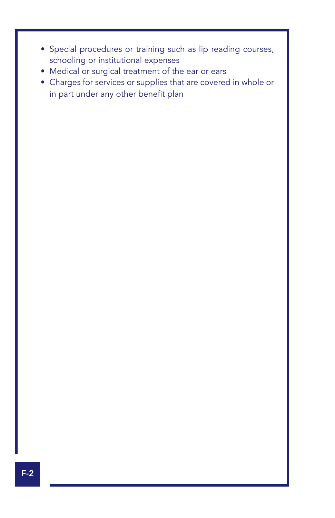- Special procedures or training such as lip reading courses, schooling or institutional expenses
- • Medical or surgical treatment of the ear or ears
- Charges for services or supplies that are covered in whole or in part under any other benefit plan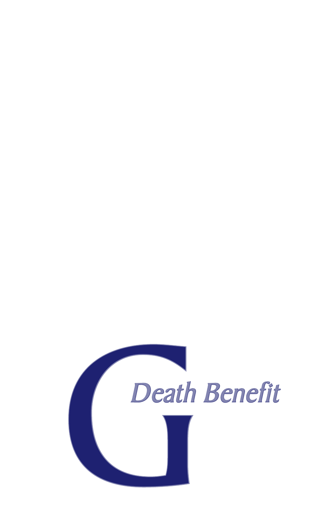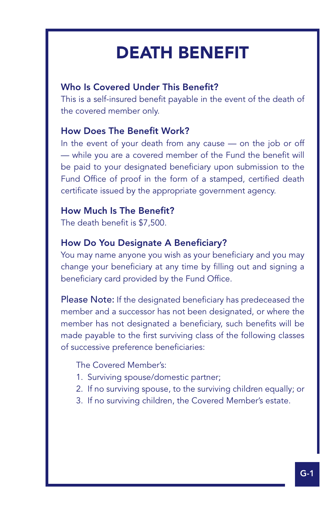# DEATH BENEFIT

### Who Is Covered Under This Benefit?

This is a self-insured benefit payable in the event of the death of the covered member only.

### How Does The Benefit Work?

Ϊ

In the event of your death from any cause — on the job or off — while you are a covered member of the Fund the benefit will be paid to your designated beneficiary upon submission to the Fund Office of proof in the form of a stamped, certified death certificate issued by the appropriate government agency.

### How Much Is The Benefit?

The death benefit is \$7,500.

#### How Do You Designate A Beneficiary?

You may name anyone you wish as your beneficiary and you may change your beneficiary at any time by filling out and signing a beneficiary card provided by the Fund Office.

Please Note: If the designated beneficiary has predeceased the member and a successor has not been designated, or where the member has not designated a beneficiary, such benefits will be made payable to the first surviving class of the following classes of successive preference beneficiaries:

The Covered Member's:

- 1. Surviving spouse/domestic partner;
- 2. If no surviving spouse, to the surviving children equally; or
- 3. If no surviving children, the Covered Member's estate.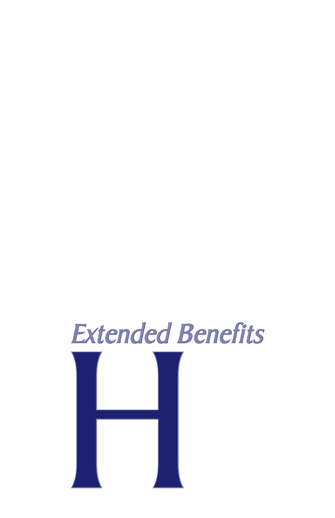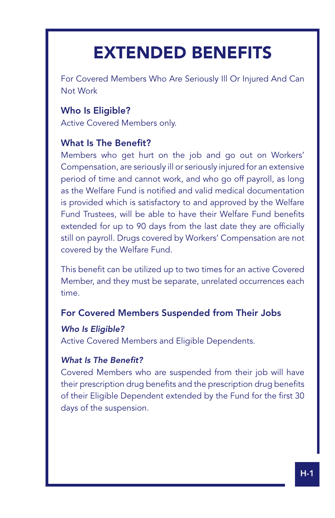# EXTENDED BENEFITS

For Covered Members Who Are Seriously Ill Or Injured And Can Not Work

### Who Is Eligible?

Ϊ

Active Covered Members only.

### What Is The Benefit?

Members who get hurt on the job and go out on Workers' Compensation, are seriously ill or seriously injured for an extensive period of time and cannot work, and who go off payroll, as long as the Welfare Fund is notified and valid medical documentation is provided which is satisfactory to and approved by the Welfare Fund Trustees, will be able to have their Welfare Fund benefits extended for up to 90 days from the last date they are officially still on payroll. Drugs covered by Workers' Compensation are not covered by the Welfare Fund.

This benefit can be utilized up to two times for an active Covered Member, and they must be separate, unrelated occurrences each time.

### For Covered Members Suspended from Their Jobs

### *Who Is Eligible?*

Active Covered Members and Eligible Dependents.

### *What Is The Benefit?*

Covered Members who are suspended from their job will have their prescription drug benefits and the prescription drug benefits of their Eligible Dependent extended by the Fund for the first 30 days of the suspension.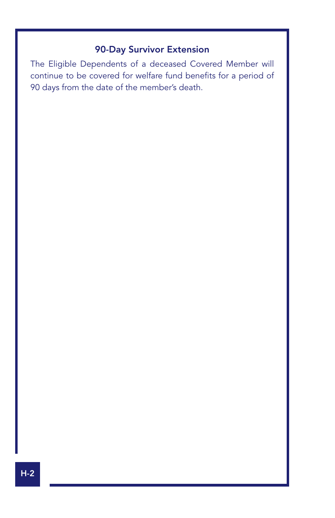### 90-Day Survivor Extension

The Eligible Dependents of a deceased Covered Member will continue to be covered for welfare fund benefits for a period of 90 days from the date of the member's death.